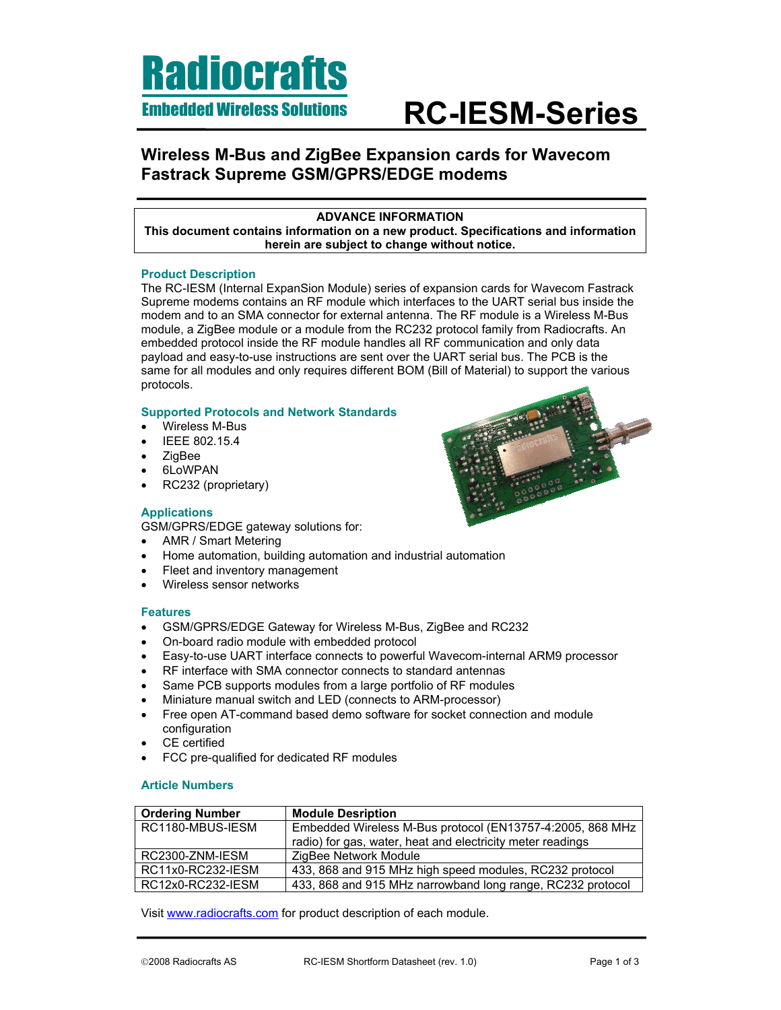

# Embedded Wireless Solutions RC-IESM-Series

# Wireless M-Bus and ZigBee Expansion cards for Wavecom Fastrack Supreme GSM/GPRS/EDGE modems

#### ADVANCE INFORMATION This document contains information on a new product. Specifications and information herein are subject to change without notice.

# Product Description

The RC-IESM (Internal ExpanSion Module) series of expansion cards for Wavecom Fastrack Supreme modems contains an RF module which interfaces to the UART serial bus inside the modem and to an SMA connector for external antenna. The RF module is a Wireless M-Bus module, a ZigBee module or a module from the RC232 protocol family from Radiocrafts. An embedded protocol inside the RF module handles all RF communication and only data payload and easy-to-use instructions are sent over the UART serial bus. The PCB is the same for all modules and only requires different BOM (Bill of Material) to support the various protocols.

#### Supported Protocols and Network Standards

- Wireless M-Bus
- IEEE 802.15.4
- ZigBee
- 6LoWPAN
- RC232 (proprietary)

# Applications

GSM/GPRS/EDGE gateway solutions for:

- AMR / Smart Metering
- Home automation, building automation and industrial automation
- Fleet and inventory management
- Wireless sensor networks

#### Features

- GSM/GPRS/EDGE Gateway for Wireless M-Bus, ZigBee and RC232
- On-board radio module with embedded protocol
- Easy-to-use UART interface connects to powerful Wavecom-internal ARM9 processor
- RF interface with SMA connector connects to standard antennas
- Same PCB supports modules from a large portfolio of RF modules
- Miniature manual switch and LED (connects to ARM-processor)
- Free open AT-command based demo software for socket connection and module configuration
- CE certified
- FCC pre-qualified for dedicated RF modules

# Article Numbers

| <b>Ordering Number</b> | <b>Module Desription</b>                                   |
|------------------------|------------------------------------------------------------|
| RC1180-MBUS-IESM       | Embedded Wireless M-Bus protocol (EN13757-4:2005, 868 MHz  |
|                        | radio) for gas, water, heat and electricity meter readings |
| RC2300-ZNM-IESM        | ZigBee Network Module                                      |
| RC11x0-RC232-IESM      | 433, 868 and 915 MHz high speed modules, RC232 protocol    |
| RC12x0-RC232-IESM      | 433, 868 and 915 MHz narrowband long range, RC232 protocol |

Visit www.radiocrafts.com for product description of each module.

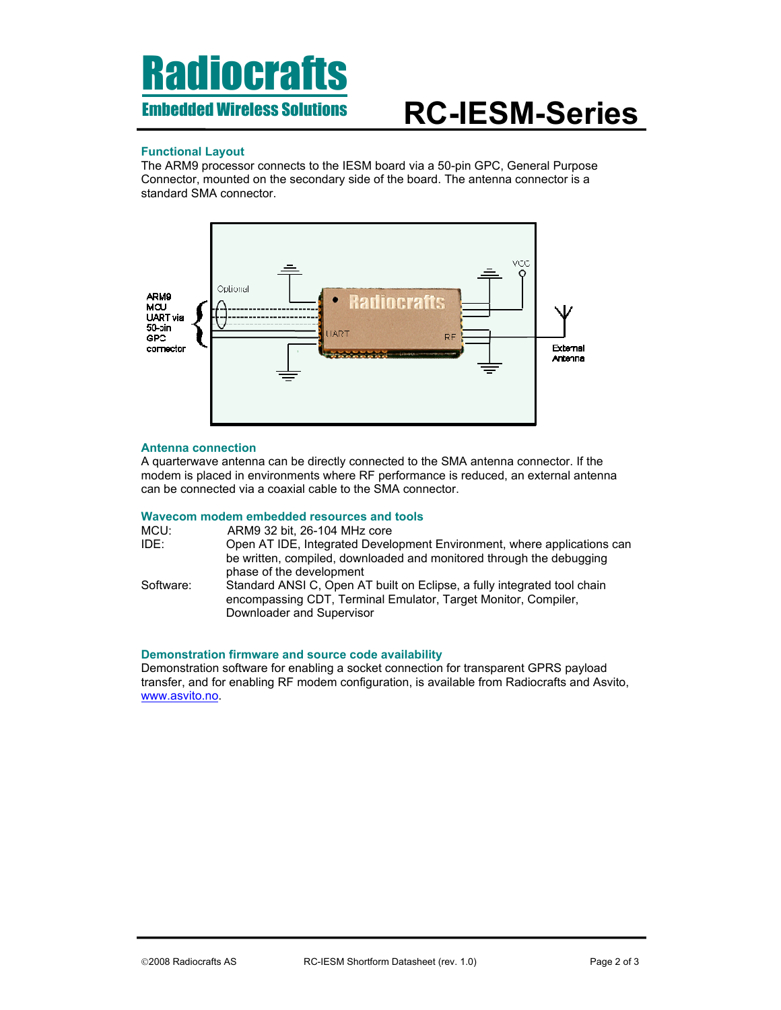

# Embedded Wireless Solutions RC-IESM-Series

### Functional Layout

The ARM9 processor connects to the IESM board via a 50-pin GPC, General Purpose Connector, mounted on the secondary side of the board. The antenna connector is a standard SMA connector.



#### Antenna connection

A quarterwave antenna can be directly connected to the SMA antenna connector. If the modem is placed in environments where RF performance is reduced, an external antenna can be connected via a coaxial cable to the SMA connector.

### Wavecom modem embedded resources and tools

| MCU:      | ARM9 32 bit, 26-104 MHz core                                                                                                                                                |
|-----------|-----------------------------------------------------------------------------------------------------------------------------------------------------------------------------|
| IDE:      | Open AT IDE, Integrated Development Environment, where applications can<br>be written, compiled, downloaded and monitored through the debugging<br>phase of the development |
| Software: | Standard ANSI C, Open AT built on Eclipse, a fully integrated tool chain<br>encompassing CDT, Terminal Emulator, Target Monitor, Compiler,<br>Downloader and Supervisor     |

#### Demonstration firmware and source code availability

Demonstration software for enabling a socket connection for transparent GPRS payload transfer, and for enabling RF modem configuration, is available from Radiocrafts and Asvito, www.asvito.no.